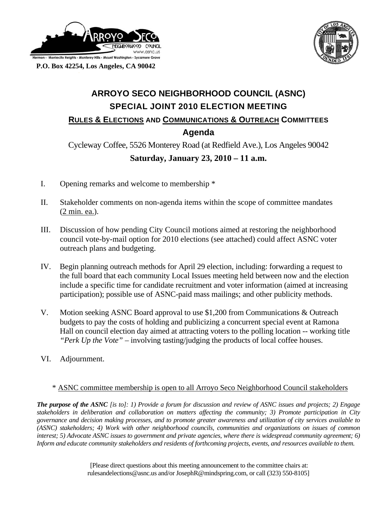



 **P.O. Box 42254, Los Angeles, CA 90042** 

## **ARROYO SECO NEIGHBORHOOD COUNCIL (ASNC) SPECIAL JOINT 2010 ELECTION MEETING RULES & ELECTIONS AND COMMUNICATIONS & OUTREACH COMMITTEES Agenda**

Cycleway Coffee, 5526 Monterey Road (at Redfield Ave.), Los Angeles 90042 **Saturday, January 23, 2010 – 11 a.m.** 

- I. Opening remarks and welcome to membership \*
- II. Stakeholder comments on non-agenda items within the scope of committee mandates (2 min. ea.).
- III. Discussion of how pending City Council motions aimed at restoring the neighborhood council vote-by-mail option for 2010 elections (see attached) could affect ASNC voter outreach plans and budgeting.
- IV. Begin planning outreach methods for April 29 election, including: forwarding a request to the full board that each community Local Issues meeting held between now and the election include a specific time for candidate recruitment and voter information (aimed at increasing participation); possible use of ASNC-paid mass mailings; and other publicity methods.
- V. Motion seeking ASNC Board approval to use \$1,200 from Communications & Outreach budgets to pay the costs of holding and publicizing a concurrent special event at Ramona Hall on council election day aimed at attracting voters to the polling location -- working title *"Perk Up the Vote"* – involving tasting/judging the products of local coffee houses.
- VI. Adjournment.

## \* ASNC committee membership is open to all Arroyo Seco Neighborhood Council stakeholders

*The purpose of the ASNC [is to]: 1) Provide a forum for discussion and review of ASNC issues and projects; 2) Engage stakeholders in deliberation and collaboration on matters affecting the community; 3) Promote participation in City governance and decision making processes, and to promote greater awareness and utilization of city services available to (ASNC) stakeholders; 4) Work with other neighborhood councils, communities and organizations on issues of common interest; 5) Advocate ASNC issues to government and private agencies, where there is widespread community agreement; 6) Inform and educate community stakeholders and residents of forthcoming projects, events, and resources available to them.*

> [Please direct questions about this meeting announcement to the committee chairs at: rulesandelections@asnc.us and/or JosephR@mindspring.com, or call (323) 550-8105]